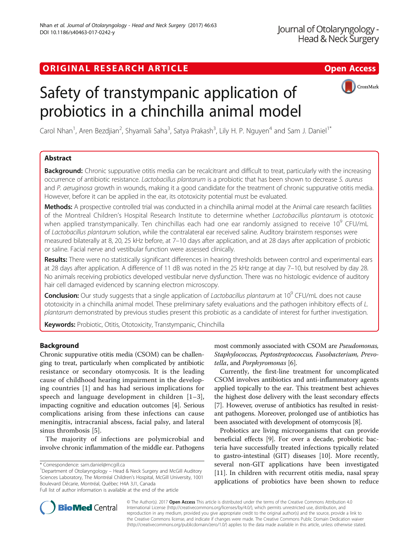# ORIGINAL RESEARCH ARTICLE **External of the Contract Contract Contract Contract Contract Contract Contract Contract Contract Contract Contract Contract Contract Contract Contract Contract Contract Contract Contract Contract**



# Safety of transtympanic application of probiotics in a chinchilla animal model

Carol Nhan<sup>1</sup>, Aren Bezdjian<sup>2</sup>, Shyamali Saha<sup>3</sup>, Satya Prakash<sup>3</sup>, Lily H. P. Nguyen<sup>4</sup> and Sam J. Daniel<sup>1\*</sup>

# Abstract

**Background:** Chronic suppurative otitis media can be recalcitrant and difficult to treat, particularly with the increasing occurrence of antibiotic resistance. Lactobacillus plantarum is a probiotic that has been shown to decrease S. aureus and P. aeruginosa growth in wounds, making it a good candidate for the treatment of chronic suppurative otitis media. However, before it can be applied in the ear, its ototoxicity potential must be evaluated.

Methods: A prospective controlled trial was conducted in a chinchilla animal model at the Animal care research facilities of the Montreal Children's Hospital Research Institute to determine whether Lactobacillus plantarum is ototoxic when applied transtympanically. Ten chinchillas each had one ear randomly assigned to receive 10 $^9$  CFU/mL of Lactobacillus plantarum solution, while the contralateral ear received saline. Auditory brainstem responses were measured bilaterally at 8, 20, 25 kHz before, at 7–10 days after application, and at 28 days after application of probiotic or saline. Facial nerve and vestibular function were assessed clinically.

Results: There were no statistically significant differences in hearing thresholds between control and experimental ears at 28 days after application. A difference of 11 dB was noted in the 25 kHz range at day 7–10, but resolved by day 28. No animals receiving probiotics developed vestibular nerve dysfunction. There was no histologic evidence of auditory hair cell damaged evidenced by scanning electron microscopy.

**Conclusion:** Our study suggests that a single application of *Lactobacillus plantarum* at 10<sup>9</sup> CFU/mL does not cause ototoxicity in a chinchilla animal model. These preliminary safety evaluations and the pathogen inhibitory effects of L. plantarum demonstrated by previous studies present this probiotic as a candidate of interest for further investigation.

**Keywords:** Probiotic, Otitis, Ototoxicity, Transtympanic, Chinchilla

# Background

Chronic suppurative otitis media (CSOM) can be challenging to treat, particularly when complicated by antibiotic resistance or secondary otomycosis. It is the leading cause of childhood hearing impairment in the developing countries [\[1](#page-4-0)] and has had serious implications for speech and language development in children [[1](#page-4-0)–[3](#page-4-0)], impacting cognitive and education outcomes [\[4](#page-4-0)]. Serious complications arising from these infections can cause meningitis, intracranial abscess, facial palsy, and lateral sinus thrombosis [[5\]](#page-4-0).

The majority of infections are polymicrobial and involve chronic inflammation of the middle ear. Pathogens

<sup>1</sup>Department of Otolaryngology – Head & Neck Surgery and McGill Auditory Sciences Laboratory, The Montréal Children's Hospital, McGill University, 1001 Boulevard Décarie, Montréal, Québec H4A 3J1, Canada Full list of author information is available at the end of the article

most commonly associated with CSOM are Pseudomonas, Staphylococcus, Peptostreptococcus, Fusobacterium, Prevotella, and Porphyromonas [[6](#page-4-0)].

Currently, the first-line treatment for uncomplicated CSOM involves antibiotics and anti-inflammatory agents applied topically to the ear. This treatment best achieves the highest dose delivery with the least secondary effects [[7\]](#page-4-0). However, overuse of antibiotics has resulted in resistant pathogens. Moreover, prolonged use of antibiotics has been associated with development of otomycosis [[8\]](#page-4-0).

Probiotics are living microorganisms that can provide beneficial effects [\[9](#page-4-0)]. For over a decade, probiotic bacteria have successfully treated infections typically related to gastro-intestinal (GIT) diseases [[10\]](#page-4-0). More recently, several non-GIT applications have been investigated [[11\]](#page-4-0). In children with recurrent otitis media, nasal spray applications of probiotics have been shown to reduce



© The Author(s). 2017 **Open Access** This article is distributed under the terms of the Creative Commons Attribution 4.0 International License [\(http://creativecommons.org/licenses/by/4.0/](http://creativecommons.org/licenses/by/4.0/)), which permits unrestricted use, distribution, and reproduction in any medium, provided you give appropriate credit to the original author(s) and the source, provide a link to the Creative Commons license, and indicate if changes were made. The Creative Commons Public Domain Dedication waiver [\(http://creativecommons.org/publicdomain/zero/1.0/](http://creativecommons.org/publicdomain/zero/1.0/)) applies to the data made available in this article, unless otherwise stated.

<sup>\*</sup> Correspondence: [sam.daniel@mcgill.ca](mailto:sam.daniel@mcgill.ca) <sup>1</sup>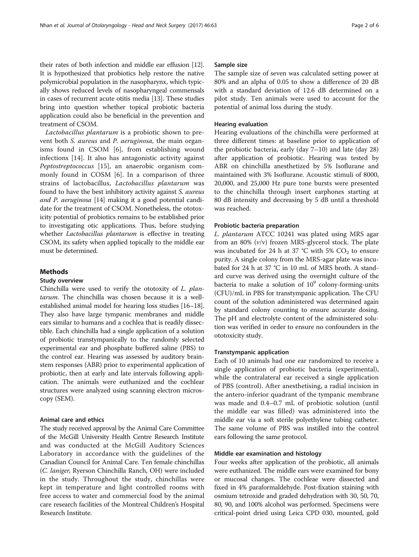their rates of both infection and middle ear effusion [[12](#page-4-0)]. It is hypothesized that probiotics help restore the native polymicrobial population in the nasopharynx, which typically shows reduced levels of nasopharyngeal commensals in cases of recurrent acute otitis media [\[13](#page-4-0)]. These studies bring into question whether topical probiotic bacteria application could also be beneficial in the prevention and treatment of CSOM.

Lactobacillus plantarum is a probiotic shown to prevent both S. aureus and P. aeruginosa, the main organisms found in CSOM [\[6](#page-4-0)], from establishing wound infections [[14\]](#page-4-0). It also has antagonistic activity against Peptostreptococcus [\[15](#page-4-0)], an anaerobic organism commonly found in COSM [[6\]](#page-4-0). In a comparison of three strains of lactobacillus, Lactobacillus plantarum was found to have the best inhibitory activity against S. aureus and P. aeruginosa [[14](#page-4-0)] making it a good potential candidate for the treatment of CSOM. Nonetheless, the ototoxicity potential of probiotics remains to be established prior to investigating otic applications. Thus, before studying whether *Lactobacillus plantarum* is effective in treating CSOM, its safety when applied topically to the middle ear must be determined.

#### **Methods**

#### Study overview

Chinchilla were used to verify the ototoxity of L. plantarum. The chinchilla was chosen because it is a wellestablished animal model for hearing loss studies [\[16](#page-4-0)–[18](#page-4-0)]. They also have large tympanic membranes and middle ears similar to humans and a cochlea that is readily dissectible. Each chinchilla had a single application of a solution of probiotic transtympanically to the randomly selected experimental ear and phosphate buffered saline (PBS) to the control ear. Hearing was assessed by auditory brainstem responses (ABR) prior to experimental application of probiotic, then at early and late intervals following application. The animals were euthanized and the cochlear structures were analyzed using scanning electron microscopy (SEM).

### Animal care and ethics

The study received approval by the Animal Care Committee of the McGill University Health Centre Research Institute and was conducted at the McGill Auditory Sciences Laboratory in accordance with the guidelines of the Canadian Council for Animal Care. Ten female chinchillas (C. laniger, Ryerson Chinchilla Ranch, OH) were included in the study. Throughout the study, chinchillas were kept in temperature and light controlled rooms with free access to water and commercial food by the animal care research facilities of the Montreal Children's Hospital Research Institute.

#### Sample size

The sample size of seven was calculated setting power at 80% and an alpha of 0.05 to show a difference of 20 dB with a standard deviation of 12.6 dB determined on a pilot study. Ten animals were used to account for the potential of animal loss during the study.

#### Hearing evaluation

Hearing evaluations of the chinchilla were performed at three different times: at baseline prior to application of the probiotic bacteria, early (day 7–10) and late (day 28) after application of probiotic. Hearing was tested by ABR on chinchilla anesthetized by 5% Isoflurane and maintained with 3% Isoflurane. Acoustic stimuli of 8000, 20,000, and 25,000 Hz pure tone bursts were presented to the chinchilla through insert earphones starting at 80 dB intensity and decreasing by 5 dB until a threshold was reached.

#### Probiotic bacteria preparation

L. plantarum ATCC 10241 was plated using MRS agar from an 80%  $(v/v)$  frozen MRS-glycerol stock. The plate was incubated for 24 h at 37 °C with 5%  $CO<sub>2</sub>$  to ensure purity. A single colony from the MRS-agar plate was incubated for 24 h at 37 °C in 10 mL of MRS broth. A standard curve was derived using the overnight culture of the bacteria to make a solution of  $10^9$  colony-forming-units (CFU)/mL in PBS for transtympanic application. The CFU count of the solution administered was determined again by standard colony counting to ensure accurate dosing. The pH and electrolyte content of the administered solution was verified in order to ensure no confounders in the ototoxicity study.

#### Transtympanic application

Each of 10 animals had one ear randomized to receive a single application of probiotic bacteria (experimental), while the contralateral ear received a single application of PBS (control). After anesthetising, a radial incision in the antero-inferior quadrant of the tympanic membrane was made and 0.4–0.7 mL of probiotic solution (until the middle ear was filled) was administered into the middle ear via a soft sterile polyethylene tubing catheter. The same volume of PBS was instilled into the control ears following the same protocol.

#### Middle ear examination and histology

Four weeks after application of the probiotic, all animals were euthanized. The middle ears were examined for bony or mucosal changes. The cochleae were dissected and fixed in 4% paraformaldehyde. Post-fixation staining with osmium tetroxide and graded dehydration with 30, 50, 70, 80, 90, and 100% alcohol was performed. Specimens were critical-point dried using Leica CPD 030, mounted, gold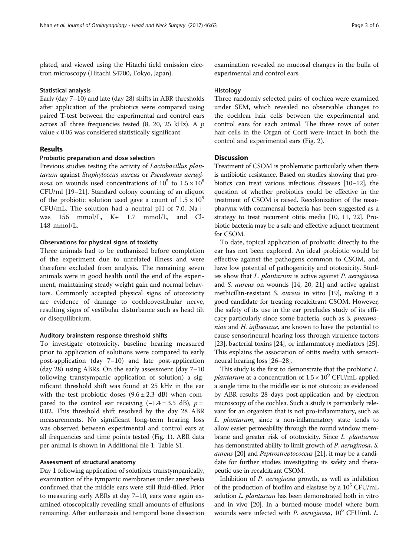plated, and viewed using the Hitachi field emission electron microscopy (Hitachi S4700, Tokyo, Japan).

#### Statistical analysis

Early (day 7–10) and late (day 28) shifts in ABR thresholds after application of the probiotics were compared using paired T-test between the experimental and control ears across all three frequencies tested (8, 20, 25 kHz). A p value < 0.05 was considered statistically significant.

# Results

#### Probiotic preparation and dose selection

Previous studies testing the activity of Lactobacillus plantarum against Staphyloccus aureus or Pseudomas aerugi*nosa* on wounds used concentrations of  $10^5$  to  $1.5 \times 10^8$ CFU/ml [\[19](#page-4-0)–[21](#page-5-0)]. Standard colony counting of an aliquot of the probiotic solution used gave a count of  $1.5 \times 10^9$ CFU/mL. The solution had a neutral pH of 7.0. Na  $+$ was 156 mmol/L, K+ 1.7 mmol/L, and Cl-148 mmol/L.

#### Observations for physical signs of toxicity

Three animals had to be euthanized before completion of the experiment due to unrelated illness and were therefore excluded from analysis. The remaining seven animals were in good health until the end of the experiment, maintaining steady weight gain and normal behaviors. Commonly accepted physical signs of ototoxicity are evidence of damage to cochleovestibular nerve, resulting signs of vestibular disturbance such as head tilt or disequilibrium.

#### Auditory brainstem response threshold shifts

To investigate ototoxicity, baseline hearing measured prior to application of solutions were compared to early post-application (day 7–10) and late post-application (day 28) using ABRs. On the early assessment (day 7–10 following transtympanic application of solution) a significant threshold shift was found at 25 kHz in the ear with the test probiotic doses  $(9.6 \pm 2.3 \text{ dB})$  when compared to the control ear receiving  $(-1.4 \pm 3.5 \text{ dB})$ ,  $p =$ 0.02. This threshold shift resolved by the day 28 ABR measurements. No significant long-term hearing loss was observed between experimental and control ears at all frequencies and time points tested (Fig. [1](#page-3-0)). ABR data per animal is shown in Additional file [1](#page-4-0): Table S1.

#### Assessment of structural anatomy

Day 1 following application of solutions transtympanically, examination of the tympanic membranes under anesthesia confirmed that the middle ears were still fluid-filled. Prior to measuring early ABRs at day 7–10, ears were again examined otoscopically revealing small amounts of effusions remaining. After euthanasia and temporal bone dissection

examination revealed no mucosal changes in the bulla of experimental and control ears.

#### Histology

Three randomly selected pairs of cochlea were examined under SEM, which revealed no observable changes to the cochlear hair cells between the experimental and control ears for each animal. The three rows of outer hair cells in the Organ of Corti were intact in both the control and experimental ears (Fig. [2\)](#page-3-0).

#### **Discussion**

Treatment of CSOM is problematic particularly when there is antibiotic resistance. Based on studies showing that probiotics can treat various infectious diseases [\[10](#page-4-0)–[12](#page-4-0)], the question of whether probiotics could be effective in the treatment of CSOM is raised. Recolonization of the nasopharynx with commensal bacteria has been suggested as a strategy to treat recurrent otitis media [\[10, 11,](#page-4-0) [22\]](#page-5-0). Probiotic bacteria may be a safe and effective adjunct treatment for CSOM.

To date, topical application of probiotic directly to the ear has not been explored. An ideal probiotic would be effective against the pathogens common to CSOM, and have low potential of pathogenicity and ototoxicity. Studies show that *L. plantarum* is active against *P. aeruginosa* and S. aureus on wounds [\[14,](#page-4-0) [20, 21](#page-5-0)] and active against methicillin-resistant S. *aureus* in vitro [\[19](#page-4-0)], making it a good candidate for treating recalcitrant CSOM. However, the safety of its use in the ear precludes study of its efficacy particularly since some bacteria, such as S. pneumoniae and H. influenzae, are known to have the potential to cause sensorineural hearing loss through virulence factors [[23](#page-5-0)], bacterial toxins [\[24](#page-5-0)], or inflammatory mediators [[25](#page-5-0)]. This explains the association of otitis media with sensorineural hearing loss [[26](#page-5-0)–[28\]](#page-5-0).

This study is the first to demonstrate that the probiotic L. *plantarum* at a concentration of  $1.5 \times 10^9$  CFU/mL applied a single time to the middle ear is not ototoxic as evidenced by ABR results 28 days post-application and by electron microscopy of the cochlea. Such a study is particularly relevant for an organism that is not pro-inflammatory, such as L. plantarum, since a non-inflammatory state tends to allow easier permeability through the round window membrane and greater risk of ototoxicity. Since L. plantarum has demonstrated ability to limit growth of P. aeruginosa, S. aureus [[20](#page-5-0)] and Peptrostreptococcus [\[21\]](#page-5-0), it may be a candidate for further studies investigating its safety and therapeutic use in recalcitrant CSOM.

Inhibition of P. aeruginosa growth, as well as inhibition of the production of biofilm and elastase by a  $10^5$  CFU/mL solution L. plantarum has been demonstrated both in vitro and in vivo [[20\]](#page-5-0). In a burned-mouse model where burn wounds were infected with *P. aeruginosa*,  $10^6$  CFU/mL *L*.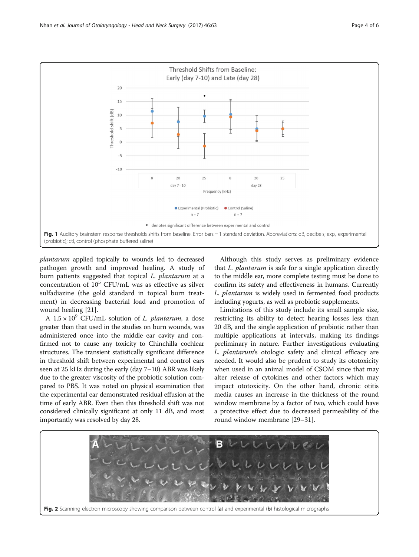<span id="page-3-0"></span>

plantarum applied topically to wounds led to decreased pathogen growth and improved healing. A study of burn patients suggested that topical *L. plantarum* at a concentration of  $10^5$  CFU/mL was as effective as silver sulfadiazine (the gold standard in topical burn treatment) in decreasing bacterial load and promotion of wound healing [\[21](#page-5-0)].

A  $1.5 \times 10^9$  CFU/mL solution of *L. plantarum*, a dose greater than that used in the studies on burn wounds, was administered once into the middle ear cavity and confirmed not to cause any toxicity to Chinchilla cochlear structures. The transient statistically significant difference in threshold shift between experimental and control ears seen at 25 kHz during the early (day 7–10) ABR was likely due to the greater viscosity of the probiotic solution compared to PBS. It was noted on physical examination that the experimental ear demonstrated residual effusion at the time of early ABR. Even then this threshold shift was not considered clinically significant at only 11 dB, and most importantly was resolved by day 28.

Although this study serves as preliminary evidence that *L. plantarum* is safe for a single application directly to the middle ear, more complete testing must be done to confirm its safety and effectiveness in humans. Currently L. plantarum is widely used in fermented food products including yogurts, as well as probiotic supplements.

Limitations of this study include its small sample size, restricting its ability to detect hearing losses less than 20 dB, and the single application of probiotic rather than multiple applications at intervals, making its findings preliminary in nature. Further investigations evaluating L. plantarum's otologic safety and clinical efficacy are needed. It would also be prudent to study its ototoxicity when used in an animal model of CSOM since that may alter release of cytokines and other factors which may impact ototoxicity. On the other hand, chronic otitis media causes an increase in the thickness of the round window membrane by a factor of two, which could have a protective effect due to decreased permeability of the round window membrane [\[29](#page-5-0)–[31\]](#page-5-0).

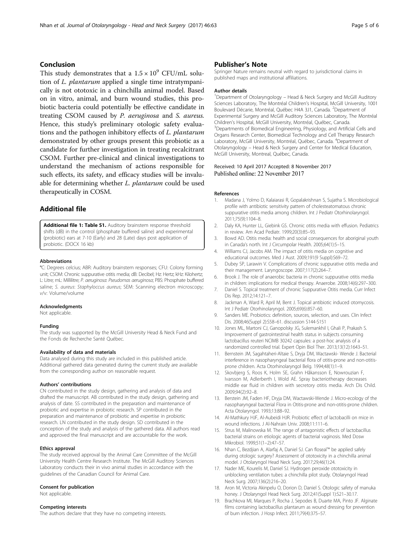# <span id="page-4-0"></span>Conclusion

This study demonstrates that a  $1.5 \times 10^9$  CFU/mL solution of L. plantarum applied a single time intratympanically is not ototoxic in a chinchilla animal model. Based on in vitro, animal, and burn wound studies, this probiotic bacteria could potentially be effective candidate in treating CSOM caused by P. aeruginosa and S. aureus. Hence, this study's preliminary otologic safety evaluations and the pathogen inhibitory effects of L. plantarum demonstrated by other groups present this probiotic as a candidate for further investigation in treating recalcitrant CSOM. Further pre-clinical and clinical investigations to understand the mechanism of actions responsible for such effects, its safety, and efficacy studies will be invaluable for determining whether L. plantarum could be used therapeutically in COSM.

#### Additional file

[Additional file 1: Table S1.](dx.doi.org/10.1186/s40463-017-0242-y) Auditory brainstem response threshold shifts (dB) in the control (phosphate buffered saline) and experimental (probiotic) ears at 7-10 (Early) and 28 (Late) days post application of probiotic. (DOCX 16 kb)

#### Abbreviations

°C: Degrees celcius; ABR: Auditory brainstem responses; CFU: Colony forming unit; CSOM: Chronic suppurative otitis media; dB: Decibel; Hz: Hertz; kHz: Kilohertz; L: Litre; mL: Millilitre; P. aeruginosa: Pseudomas aeruginosa; PBS: Phosphate buffered saline; S. aureus: Staphyloccus aureus; SEM: Scanning electron microscopy; v/v: Volume/volume

#### Acknowledgments

Not applicable.

#### Funding

The study was supported by the McGill University Head & Neck Fund and the Fonds de Recherche Santé Québec.

#### Availability of data and materials

Data analysed during this study are included in this published article. Additional gathered data generated during the current study are available from the corresponding author on reasonable request.

#### Authors' contributions

CN contributed in the study design, gathering and analysis of data and drafted the manuscript. AB contributed in the study design, gathering and analysis of date. SS contributed in the preparation and maintenance of probiotic and expertise in probiotic research. SP contributed in the preparation and maintenance of probiotic and expertise in probiotic research. LN contributed in the study design. SD contributed in the conception of the study and analysis of the gathered data. All authors read and approved the final manuscript and are accountable for the work.

#### Ethics approval

The study received approval by the Animal Care Committee of the McGill University Health Centre Research Institute. The McGill Auditory Sciences Laboratory conducts their in vivo animal studies in accordance with the guidelines of the Canadian Council for Animal Care.

#### Consent for publication

Not applicable.

#### Competing interests

The authors declare that they have no competing interests.

#### Publisher's Note

Springer Nature remains neutral with regard to jurisdictional claims in published maps and institutional affiliations.

#### Author details

<sup>1</sup>Department of Otolaryngology - Head & Neck Surgery and McGill Auditory Sciences Laboratory, The Montréal Children's Hospital, McGill University, 1001 Boulevard Décarie, Montréal, Québec H4A 3J1, Canada. <sup>2</sup>Department of Experimental Surgery and McGill Auditory Sciences Laboratory, The Montréal Children's Hospital, McGill University, Montréal, Québec, Canada. <sup>3</sup> <sup>3</sup>Departments of Biomedical Engineering, Physiology, and Artificial Cells and Organs Research Center, Biomedical Technology and Cell Therapy Research Laboratory, McGill University, Montréal, Québec, Canada. <sup>4</sup>Department of Otolaryngology – Head & Neck Surgery and Center for Medical Education, McGill University, Montreal, Québec, Canada.

#### Received: 10 April 2017 Accepted: 8 November 2017 Published online: 22 November 2017

#### References

- 1. Madana J, Yolmo D, Kalaiarasi R, Gopalakrishnan S, Sujatha S. Microbiological profile with antibiotic sensitivity pattern of cholesteatomatous chronic suppurative otitis media among children. Int J Pediatr Otorhinolaryngol. 2011;75(9):1104–8.
- 2. Daly KA, Hunter LL, Giebink GS. Chronic otitis media with effusion. Pediatrics in review. Am Acad Pediatr. 1999;20(3):85–93.
- 3. Bowd AD. Otitis media: health and social consequences for aboriginal youth in Canada's north. Int J Circumpolar Health. 2005;64(1):5–15.
- 4. Williams CJ, Jacobs AM. The impact of otitis media on cognitive and educational outcomes. Med J Aust. 2009;191(9 Suppl):S69–72.
- 5. Dubey SP, Larawin V. Complications of chronic suppurative otitis media and their management. Laryngoscope. 2007;117(2):264–7.
- 6. Brook J. The role of anaerobic bacteria in chronic suppurative otitis media in children: implications for medical therapy. Anaerobe. 2008;14(6):297–300.
- 7. Daniel S. Topical treatment of chronic Suppurative Otitis media. Curr Infect Dis Rep. 2012;14:121–7.
- 8. Jackman A, Ward R, April M, Bent J. Topical antibiotic induced otomycosis. Int J Pediatr Otorhinolaryngol. 2005;69(6):857–60.
- 9. Sanders ME. Probiotics: definition, sources, selection, and uses. Clin Infect Dis. 2008;46(Suppl 2):S58–61. discussion S144-S151
- 10. Jones ML, Martoni CJ, Ganopolsky JG, Sulemankhil I, Ghali P, Prakash S. Improvement of gastrointestinal health status in subjects consuming lactobacillus reuteri NCIMB 30242 capsules: a post-hoc analysis of a randomized controlled trial. Expert Opin Biol Ther. 2013;13(12):1643–51.
- 11. Bernstein JM, Sagahtaheri-Altaie S, Dryja DM, Wactawski- Wende J. Bacterial interference in nasopharyngeal bacterial flora of otitis-prone and non-otitisprone children. Acta Otorhinolaryngol Belg. 1994;48(1):1–9.
- 12. Skovbjerg S, Roos K, Holm SE, Grahn Håkansson E, Nowrouzian F, Ivarsson M, Adlerberth I, Wold AE. Spray bacteriotherapy decreases middle ear fluid in children with secretory otitis media. Arch Dis Child. 2009;94(2):92–8.
- 13. Berstein JM, Faden HF, Dryja DM, Wactawski-Wende J. Micro-ecology of the nasopharyngeal bacterial Flora in Otitis-prone and non-otitis-prone children. Acta Otolaryngol. 1993;13:88–92.
- 14. Al-Mathkury HJF, Al-Aubeidi HJR. Probiotic effect of lactobacilli on mice in wound infections. J Al-Nahrain Univ. 2008;11:111–6.
- 15. Strus M, Malinowska M. The range of antagonistic effects of lactobacillus bacterial strains on etiologic agents of bacterial vaginosis. Med Dosw Mikrobiol. 1999;51(1–2):47–57.
- 16. Nhan C, Bezdjian A, Alarfaj A, Daniel SJ. Can floseal™ be applied safely during otologic surgery? Assessment of ototoxicity in a chinchilla animal model. J Otolaryngol Head Neck Surg. 2017;29;46(1):24.
- 17. Nader ME, Kourelis M, Daniel SJ. Hydrogen peroxide ototoxicity in unblocking ventilation tubes: a chinchilla pilot study. Otolaryngol Head Neck Surg. 2007;136(2):216–20.
- 18. Aron M, Victoria Akinpelu O, Dorion D, Daniel S. Otologic safety of manuka honey. J Otolaryngol Head Neck Surg. 2012;41(Suppl 1):S21–30.17.
- 19. Brachkova MI, Marques P, Rocha J, Sepodes B, Duarte MA, Pinto JF. Alginate films containing lactobacillus plantarum as wound dressing for prevention of burn infection. J Hosp Infect. 2011;79(4):375–57.